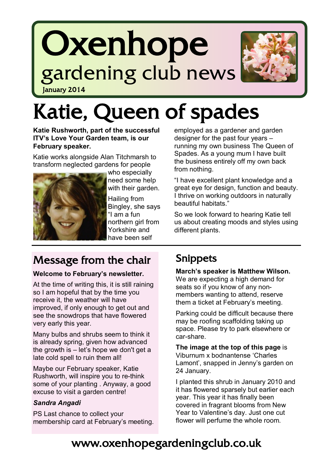# Oxenhope gardening club news



January 2014

## Katie, Queen of spades

**Katie Rushworth, part of the successful ITV's Love Your Garden team, is our February speaker.** 

Katie works alongside Alan Titchmarsh to transform neglected gardens for people



who especially need some help with their garden.

Hailing from Bingley, she says ―I am a fun northern girl from Yorkshire and have been self

employed as a gardener and garden designer for the past four years – running my own business The Queen of Spades. As a young mum I have built the business entirely off my own back from nothing.

"I have excellent plant knowledge and a great eye for design, function and beauty. I thrive on working outdoors in naturally beautiful habitats."

So we look forward to hearing Katie tell us about creating moods and styles using different plants.

## Message from the chair

#### **Welcome to February's newsletter.**

At the time of writing this, it is still raining so I am hopeful that by the time you receive it, the weather will have improved, if only enough to get out and see the snowdrops that have flowered very early this year.

Many bulbs and shrubs seem to think it is already spring, given how advanced the growth is – let's hope we don't get a late cold spell to ruin them all!

Maybe our February speaker, Katie Rushworth, will inspire you to re-think some of your planting . Anyway, a good excuse to visit a garden centre!

#### *Sandra Angadi*

PS Last chance to collect your membership card at February's meeting.

### Snippets

**March's speaker is Matthew Wilson.**  We are expecting a high demand for seats so if you know of any nonmembers wanting to attend, reserve them a ticket at February's meeting.

Parking could be difficult because there may be roofing scaffolding taking up space. Please try to park elsewhere or car-share.

**The image at the top of this page** is Viburnum x bodnantense 'Charles Lamont', snapped in Jenny's garden on 24 January.

I planted this shrub in January 2010 and it has flowered sparsely but earlier each year. This year it has finally been covered in fragrant blooms from New Year to Valentine's day. Just one cut flower will perfume the whole room.

## www.oxenhopegardeningclub.co.uk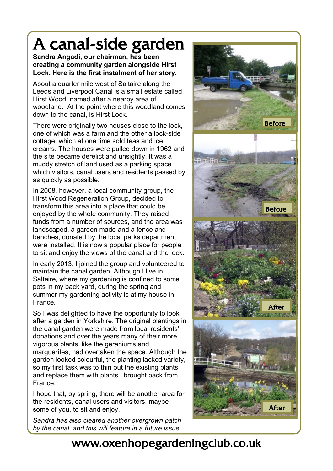## A canal-side garden

**Sandra Angadi, our chairman, has been creating a community garden alongside Hirst Lock. Here is the first instalment of her story.**

About a quarter mile west of Saltaire along the Leeds and Liverpool Canal is a small estate called Hirst Wood, named after a nearby area of woodland. At the point where this woodland comes down to the canal, is Hirst Lock.

There were originally two houses close to the lock, one of which was a farm and the other a lock-side cottage, which at one time sold teas and ice creams. The houses were pulled down in 1962 and the site became derelict and unsightly. It was a muddy stretch of land used as a parking space which visitors, canal users and residents passed by as quickly as possible.

In 2008, however, a local community group, the Hirst Wood Regeneration Group, decided to transform this area into a place that could be enjoyed by the whole community. They raised funds from a number of sources, and the area was landscaped, a garden made and a fence and benches, donated by the local parks department, were installed. It is now a popular place for people to sit and enjoy the views of the canal and the lock.

In early 2013, I joined the group and volunteered to maintain the canal garden. Although I live in Saltaire, where my gardening is confined to some pots in my back yard, during the spring and summer my gardening activity is at my house in France.

So I was delighted to have the opportunity to look after a garden in Yorkshire. The original plantings in the canal garden were made from local residents' donations and over the years many of their more vigorous plants, like the geraniums and marguerites, had overtaken the space. Although the garden looked colourful, the planting lacked variety, so my first task was to thin out the existing plants and replace them with plants I brought back from France.

I hope that, by spring, there will be another area for the residents, canal users and visitors, maybe some of you, to sit and enjoy.

*Sandra has also cleared another overgrown patch by the canal, and this will feature in a future issue.*



## www.oxenhopegardeningclub.co.uk